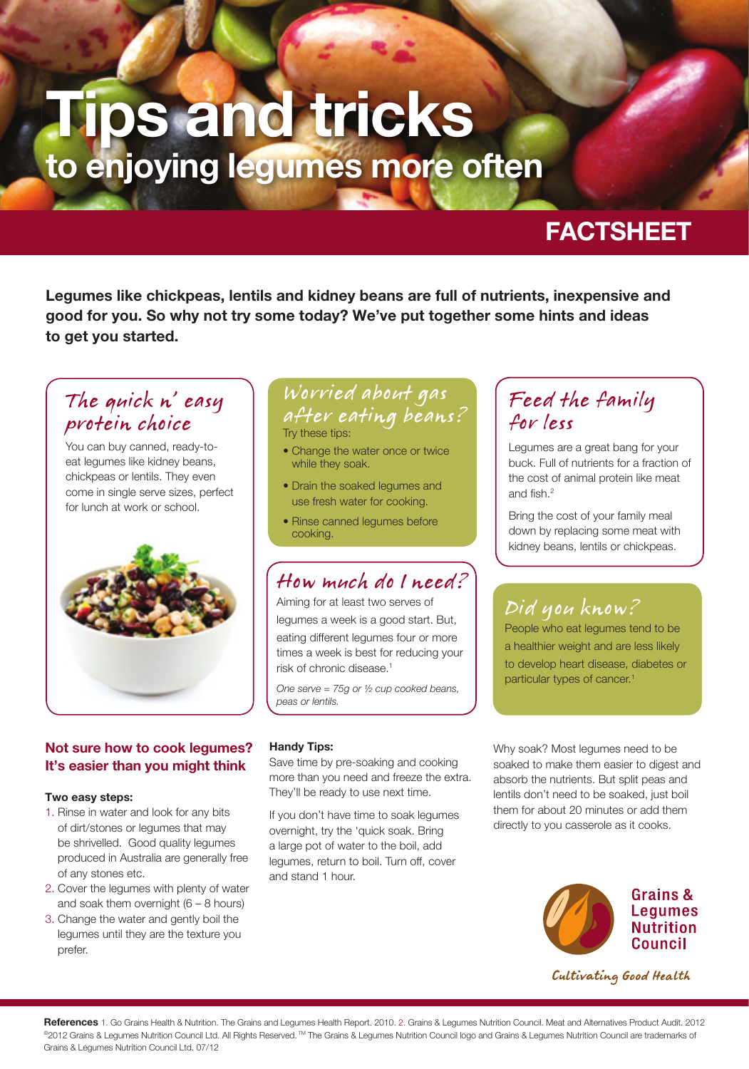# **Tips and tricks to enjoying legumes more often**

# **FACTSHEET**

**Legumes like chickpeas, lentils and kidney beans are full of nutrients, inexpensive and good for you. So why not try some today? We've put together some hints and ideas to get you started.** 

### The quick n' easy protein choice

You can buy canned, ready-toeat legumes like kidney beans, chickpeas or lentils. They even come in single serve sizes, perfect for lunch at work or school.



### **Not sure how to cook legumes? It's easier than you might think**

### **Two easy steps:**

- 1. Rinse in water and look for any bits of dirt/stones or legumes that may be shrivelled. Good quality legumes produced in Australia are generally free of any stones etc.
- 2. Cover the legumes with plenty of water and soak them overnight  $(6 - 8$  hours)
- 3. Change the water and gently boil the legumes until they are the texture you prefer.

## Worried about gas after eating beans?

Try these tips:

- Change the water once or twice while they soak.
- Drain the soaked legumes and use fresh water for cooking.
- Rinse canned legumes before cooking.

### How much do I need?

Aiming for at least two serves of legumes a week is a good start. But, eating different legumes four or more times a week is best for reducing your risk of chronic disease.1

*One serve = 75g or ½ cup cooked beans, peas or lentils.* 

### **Handy Tips:**

Save time by pre-soaking and cooking more than you need and freeze the extra. They'll be ready to use next time.

If you don't have time to soak legumes overnight, try the 'quick soak. Bring a large pot of water to the boil, add legumes, return to boil. Turn off, cover and stand 1 hour.

### Feed the family for less

Legumes are a great bang for your buck. Full of nutrients for a fraction of the cost of animal protein like meat and fish. $2$ 

Bring the cost of your family meal down by replacing some meat with kidney beans, lentils or chickpeas.

# Did you know?

People who eat legumes tend to be a healthier weight and are less likely to develop heart disease, diabetes or particular types of cancer.1

Why soak? Most legumes need to be soaked to make them easier to digest and absorb the nutrients. But split peas and lentils don't need to be soaked, just boil them for about 20 minutes or add them directly to you casserole as it cooks.



Cultivating Good Health